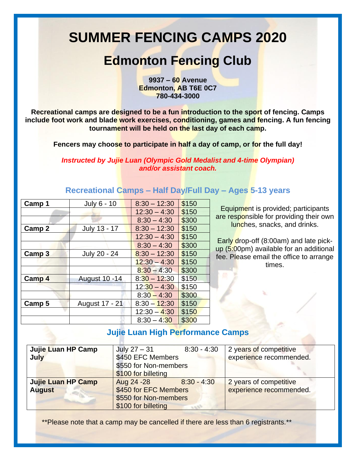# **SUMMER FENCING CAMPS 2020**

## **Edmonton Fencing Club**

**9937 – 60 Avenue Edmonton, AB T6E 0C7 780-434-3000**

**Recreational camps are designed to be a fun introduction to the sport of fencing. Camps include foot work and blade work exercises, conditioning, games and fencing. A fun fencing tournament will be held on the last day of each camp.**

**Fencers may choose to participate in half a day of camp, or for the full day!** 

*Instructed by Jujie Luan (Olympic Gold Medalist and 4-time Olympian) and/or assistant coach.*

| Camp 1            | July 6 - 10          | $8:30 - 12:30$ | \$150 |
|-------------------|----------------------|----------------|-------|
|                   |                      | $12:30 - 4:30$ | \$150 |
|                   |                      | $8:30 - 4:30$  | \$300 |
| Camp 2            | July 13 - 17         | $8:30 - 12:30$ | \$150 |
|                   |                      | $12:30 - 4:30$ | \$150 |
|                   |                      | $8:30 - 4:30$  | \$300 |
| Camp <sub>3</sub> | July 20 - 24         | $8:30 - 12:30$ | \$150 |
|                   |                      | $12:30 - 4:30$ | \$150 |
|                   |                      | $8:30 - 4:30$  | \$300 |
| Camp 4            | <b>August 10 -14</b> | $8:30 - 12:30$ | \$150 |
|                   |                      | $12:30 - 4:30$ | \$150 |
|                   |                      | $8:30 - 4:30$  | \$300 |
| Camp <sub>5</sub> | August 17 - 21       | $8:30 - 12:30$ | \$150 |
|                   |                      | $12:30 - 4:30$ | \$150 |
|                   |                      | $8:30 - 4:30$  | \$300 |

#### **Recreational Camps – Half Day/Full Day – Ages 5-13 years**

Equipment is provided; participants are responsible for providing their own lunches, snacks, and drinks.

Early drop-off (8:00am) and late pickup (5:00pm) available for an additional fee. Please email the office to arrange times.

#### **Jujie Luan High Performance Camps**

| Jujie Luan HP Camp | July $27 - 31$        | $8:30 - 4:30$ | 2 years of competitive  |
|--------------------|-----------------------|---------------|-------------------------|
| July               | \$450 EFC Members     |               | experience recommended. |
|                    | \$550 for Non-members |               |                         |
|                    | \$100 for billeting   |               |                         |
| Jujie Luan HP Camp | Aug 24 - 28           | $8:30 - 4:30$ | 2 years of competitive  |
| <b>August</b>      | \$450 for EFC Members |               | experience recommended. |
|                    | \$550 for Non-members |               |                         |
|                    | \$100 for billeting   |               |                         |

\*\*Please note that a camp may be cancelled if there are less than 6 registrants.\*\*